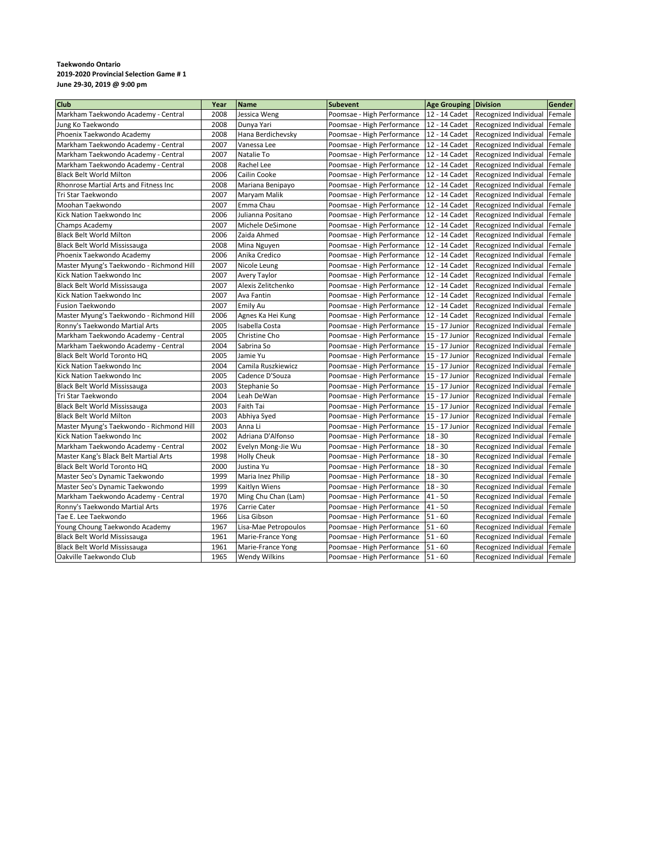## **Taekwondo Ontario 2019-2020 Provincial Selection Game # 1 June 29-30, 2019 @ 9:00 pm**

| 2008<br>12 - 14 Cadet<br>Recognized Individual<br>Jessica Weng<br>Poomsae - High Performance<br>Female<br>2008<br>Dunya Yari<br>Poomsae - High Performance<br>12 - 14 Cadet<br>Recognized Individual<br>Female<br>2008<br>Hana Berdichevsky<br>Poomsae - High Performance<br>12 - 14 Cadet<br>Female<br>Recognized Individual<br>2007<br>Vanessa Lee<br>Poomsae - High Performance<br>12 - 14 Cadet<br>Recognized Individual<br>Female<br>2007<br>Poomsae - High Performance<br>12 - 14 Cadet<br>Natalie To<br>Recognized Individual<br>Female<br>2008<br>Rachel Lee<br>Poomsae - High Performance<br>12 - 14 Cadet<br>Recognized Individual<br>Female<br>2006<br>Cailin Cooke<br>Poomsae - High Performance<br>12 - 14 Cadet<br>Recognized Individual<br>Female<br>2008<br>12 - 14 Cadet<br>Mariana Benipayo<br>Poomsae - High Performance<br>Recognized Individual<br>Female<br>2007<br>Poomsae - High Performance<br>12 - 14 Cadet<br>Maryam Malik<br>Recognized Individual<br>Female<br>2007<br>Poomsae - High Performance<br>12 - 14 Cadet<br>Emma Chau<br>Recognized Individual<br>Female<br>2006<br>Julianna Positano<br>Poomsae - High Performance<br>12 - 14 Cadet<br>Recognized Individual<br>Female<br>2007<br>Michele DeSimone<br>Poomsae - High Performance<br>12 - 14 Cadet<br>Recognized Individual<br>Female<br>2006<br>Zaida Ahmed<br>Poomsae - High Performance<br>12 - 14 Cadet<br>Recognized Individual<br>Female<br>2008<br>Poomsae - High Performance<br>12 - 14 Cadet<br>Recognized Individual<br>Mina Nguyen<br>Female<br>2006<br>12 - 14 Cadet<br>Anika Credico<br>Poomsae - High Performance<br>Recognized Individual<br>Female<br>2007<br>Poomsae - High Performance<br>Nicole Leung<br>12 - 14 Cadet<br>Recognized Individual<br>Female<br>2007<br>Poomsae - High Performance<br><b>Avery Taylor</b><br>12 - 14 Cadet<br>Recognized Individual<br>Female<br>2007<br>Alexis Zelitchenko<br>Poomsae - High Performance<br>12 - 14 Cadet<br>Recognized Individual<br>Female<br>2007<br>Ava Fantin<br>Poomsae - High Performance<br>12 - 14 Cadet<br>Recognized Individual<br>Female<br>2007<br>Poomsae - High Performance<br>Emily Au<br>12 - 14 Cadet<br>Recognized Individual<br>Female<br>2006<br>Poomsae - High Performance<br>12 - 14 Cadet<br>Agnes Ka Hei Kung<br>Recognized Individual<br>Female<br>2005<br>Poomsae - High Performance<br>Isabella Costa<br>15 - 17 Junior<br>Recognized Individual<br>Female<br>2005<br>15 - 17 Junior<br>Christine Cho<br>Poomsae - High Performance<br>Recognized Individual<br>Female<br>2004<br>15 - 17 Junior<br>Sabrina So<br>Poomsae - High Performance<br>Recognized Individual<br>Female<br>2005<br>Poomsae - High Performance<br>15 - 17 Junior<br>Jamie Yu<br>Recognized Individual<br>Female<br>2004<br>Camila Ruszkiewicz<br>Poomsae - High Performance<br>15 - 17 Junior<br>Recognized Individual<br>Female<br>2005<br>Cadence D'Souza<br>Poomsae - High Performance<br>15 - 17 Junior<br>Recognized Individual<br>Female<br>2003<br>15 - 17 Junior<br>Stephanie So<br>Poomsae - High Performance<br>Recognized Individual<br>Female<br>2004<br>Leah DeWan<br>Poomsae - High Performance<br>15 - 17 Junior<br>Recognized Individual<br>Female<br>2003<br>Poomsae - High Performance<br>15 - 17 Junior<br>Faith Tai<br>Recognized Individual<br>Female<br>2003<br>Abhiya Syed<br>15 - 17 Junior<br>Poomsae - High Performance<br>Recognized Individual<br>Female<br>2003<br>15 - 17 Junior<br>Anna Li<br>Poomsae - High Performance<br>Recognized Individual<br>Female<br>2002<br>Adriana D'Alfonso<br>$18 - 30$<br>Poomsae - High Performance<br>Recognized Individual<br>Female<br>$18 - 30$<br>2002<br>Evelyn Mong-Jie Wu<br>Poomsae - High Performance<br>Recognized Individual<br>Female<br>1998<br>$18 - 30$<br><b>Holly Cheuk</b><br>Poomsae - High Performance<br>Recognized Individual<br>Female<br>$18 - 30$<br>2000<br>Justina Yu<br>Poomsae - High Performance<br>Recognized Individual<br>Female<br>1999<br>$18 - 30$<br>Maria Inez Philip<br>Poomsae - High Performance<br>Recognized Individual<br>Female<br>1999<br>Poomsae - High Performance<br>$18 - 30$<br>Kaitlyn Wiens<br>Recognized Individual<br>Female<br>$41 - 50$<br>1970<br>Ming Chu Chan (Lam)<br>Poomsae - High Performance<br>Recognized Individual<br>Female<br>1976<br>$41 - 50$<br>Carrie Cater<br>Poomsae - High Performance<br>Recognized Individual<br>Female<br>1966<br>$51 - 60$<br>Lisa Gibson<br>Poomsae - High Performance<br>Recognized Individual<br>Female<br>$51 - 60$<br>1967<br>Lisa-Mae Petropoulos<br>Poomsae - High Performance<br>Recognized Individual<br>Female<br>Poomsae - High Performance<br>$51 - 60$<br>1961<br>Marie-France Yong<br>Recognized Individual<br>Female<br>$51 - 60$<br>1961<br>Poomsae - High Performance<br>Marie-France Yong<br>Recognized Individual<br>Female<br>1965<br><b>Wendy Wilkins</b><br>Poomsae - High Performance<br>$51 - 60$<br>Recognized Individual Female | Club                                          | Year | <b>Name</b> | <b>Subevent</b> | Age Grouping Division | Gender |
|---------------------------------------------------------------------------------------------------------------------------------------------------------------------------------------------------------------------------------------------------------------------------------------------------------------------------------------------------------------------------------------------------------------------------------------------------------------------------------------------------------------------------------------------------------------------------------------------------------------------------------------------------------------------------------------------------------------------------------------------------------------------------------------------------------------------------------------------------------------------------------------------------------------------------------------------------------------------------------------------------------------------------------------------------------------------------------------------------------------------------------------------------------------------------------------------------------------------------------------------------------------------------------------------------------------------------------------------------------------------------------------------------------------------------------------------------------------------------------------------------------------------------------------------------------------------------------------------------------------------------------------------------------------------------------------------------------------------------------------------------------------------------------------------------------------------------------------------------------------------------------------------------------------------------------------------------------------------------------------------------------------------------------------------------------------------------------------------------------------------------------------------------------------------------------------------------------------------------------------------------------------------------------------------------------------------------------------------------------------------------------------------------------------------------------------------------------------------------------------------------------------------------------------------------------------------------------------------------------------------------------------------------------------------------------------------------------------------------------------------------------------------------------------------------------------------------------------------------------------------------------------------------------------------------------------------------------------------------------------------------------------------------------------------------------------------------------------------------------------------------------------------------------------------------------------------------------------------------------------------------------------------------------------------------------------------------------------------------------------------------------------------------------------------------------------------------------------------------------------------------------------------------------------------------------------------------------------------------------------------------------------------------------------------------------------------------------------------------------------------------------------------------------------------------------------------------------------------------------------------------------------------------------------------------------------------------------------------------------------------------------------------------------------------------------------------------------------------------------------------------------------------------------------------------------------------------------------------------------------------------------------------------------------------------------------------------------------------------------------------------------------------------------------------------------------------------------------------------------------------------------------------------------------------------------------------------------------------------------------------------------------------------------------------------------------------------------------------------------------------------------------------------------------------------------------------------------------------------------------------------------------------------------------------------------------------------------------------------------------|-----------------------------------------------|------|-------------|-----------------|-----------------------|--------|
|                                                                                                                                                                                                                                                                                                                                                                                                                                                                                                                                                                                                                                                                                                                                                                                                                                                                                                                                                                                                                                                                                                                                                                                                                                                                                                                                                                                                                                                                                                                                                                                                                                                                                                                                                                                                                                                                                                                                                                                                                                                                                                                                                                                                                                                                                                                                                                                                                                                                                                                                                                                                                                                                                                                                                                                                                                                                                                                                                                                                                                                                                                                                                                                                                                                                                                                                                                                                                                                                                                                                                                                                                                                                                                                                                                                                                                                                                                                                                                                                                                                                                                                                                                                                                                                                                                                                                                                                                                                                                                                                                                                                                                                                                                                                                                                                                                                                                                                                                                                       | Markham Taekwondo Academy - Central           |      |             |                 |                       |        |
|                                                                                                                                                                                                                                                                                                                                                                                                                                                                                                                                                                                                                                                                                                                                                                                                                                                                                                                                                                                                                                                                                                                                                                                                                                                                                                                                                                                                                                                                                                                                                                                                                                                                                                                                                                                                                                                                                                                                                                                                                                                                                                                                                                                                                                                                                                                                                                                                                                                                                                                                                                                                                                                                                                                                                                                                                                                                                                                                                                                                                                                                                                                                                                                                                                                                                                                                                                                                                                                                                                                                                                                                                                                                                                                                                                                                                                                                                                                                                                                                                                                                                                                                                                                                                                                                                                                                                                                                                                                                                                                                                                                                                                                                                                                                                                                                                                                                                                                                                                                       | Jung Ko Taekwondo                             |      |             |                 |                       |        |
|                                                                                                                                                                                                                                                                                                                                                                                                                                                                                                                                                                                                                                                                                                                                                                                                                                                                                                                                                                                                                                                                                                                                                                                                                                                                                                                                                                                                                                                                                                                                                                                                                                                                                                                                                                                                                                                                                                                                                                                                                                                                                                                                                                                                                                                                                                                                                                                                                                                                                                                                                                                                                                                                                                                                                                                                                                                                                                                                                                                                                                                                                                                                                                                                                                                                                                                                                                                                                                                                                                                                                                                                                                                                                                                                                                                                                                                                                                                                                                                                                                                                                                                                                                                                                                                                                                                                                                                                                                                                                                                                                                                                                                                                                                                                                                                                                                                                                                                                                                                       | Phoenix Taekwondo Academy                     |      |             |                 |                       |        |
|                                                                                                                                                                                                                                                                                                                                                                                                                                                                                                                                                                                                                                                                                                                                                                                                                                                                                                                                                                                                                                                                                                                                                                                                                                                                                                                                                                                                                                                                                                                                                                                                                                                                                                                                                                                                                                                                                                                                                                                                                                                                                                                                                                                                                                                                                                                                                                                                                                                                                                                                                                                                                                                                                                                                                                                                                                                                                                                                                                                                                                                                                                                                                                                                                                                                                                                                                                                                                                                                                                                                                                                                                                                                                                                                                                                                                                                                                                                                                                                                                                                                                                                                                                                                                                                                                                                                                                                                                                                                                                                                                                                                                                                                                                                                                                                                                                                                                                                                                                                       | Markham Taekwondo Academy - Central           |      |             |                 |                       |        |
|                                                                                                                                                                                                                                                                                                                                                                                                                                                                                                                                                                                                                                                                                                                                                                                                                                                                                                                                                                                                                                                                                                                                                                                                                                                                                                                                                                                                                                                                                                                                                                                                                                                                                                                                                                                                                                                                                                                                                                                                                                                                                                                                                                                                                                                                                                                                                                                                                                                                                                                                                                                                                                                                                                                                                                                                                                                                                                                                                                                                                                                                                                                                                                                                                                                                                                                                                                                                                                                                                                                                                                                                                                                                                                                                                                                                                                                                                                                                                                                                                                                                                                                                                                                                                                                                                                                                                                                                                                                                                                                                                                                                                                                                                                                                                                                                                                                                                                                                                                                       | Markham Taekwondo Academy - Central           |      |             |                 |                       |        |
|                                                                                                                                                                                                                                                                                                                                                                                                                                                                                                                                                                                                                                                                                                                                                                                                                                                                                                                                                                                                                                                                                                                                                                                                                                                                                                                                                                                                                                                                                                                                                                                                                                                                                                                                                                                                                                                                                                                                                                                                                                                                                                                                                                                                                                                                                                                                                                                                                                                                                                                                                                                                                                                                                                                                                                                                                                                                                                                                                                                                                                                                                                                                                                                                                                                                                                                                                                                                                                                                                                                                                                                                                                                                                                                                                                                                                                                                                                                                                                                                                                                                                                                                                                                                                                                                                                                                                                                                                                                                                                                                                                                                                                                                                                                                                                                                                                                                                                                                                                                       | Markham Taekwondo Academy - Central           |      |             |                 |                       |        |
|                                                                                                                                                                                                                                                                                                                                                                                                                                                                                                                                                                                                                                                                                                                                                                                                                                                                                                                                                                                                                                                                                                                                                                                                                                                                                                                                                                                                                                                                                                                                                                                                                                                                                                                                                                                                                                                                                                                                                                                                                                                                                                                                                                                                                                                                                                                                                                                                                                                                                                                                                                                                                                                                                                                                                                                                                                                                                                                                                                                                                                                                                                                                                                                                                                                                                                                                                                                                                                                                                                                                                                                                                                                                                                                                                                                                                                                                                                                                                                                                                                                                                                                                                                                                                                                                                                                                                                                                                                                                                                                                                                                                                                                                                                                                                                                                                                                                                                                                                                                       | <b>Black Belt World Milton</b>                |      |             |                 |                       |        |
|                                                                                                                                                                                                                                                                                                                                                                                                                                                                                                                                                                                                                                                                                                                                                                                                                                                                                                                                                                                                                                                                                                                                                                                                                                                                                                                                                                                                                                                                                                                                                                                                                                                                                                                                                                                                                                                                                                                                                                                                                                                                                                                                                                                                                                                                                                                                                                                                                                                                                                                                                                                                                                                                                                                                                                                                                                                                                                                                                                                                                                                                                                                                                                                                                                                                                                                                                                                                                                                                                                                                                                                                                                                                                                                                                                                                                                                                                                                                                                                                                                                                                                                                                                                                                                                                                                                                                                                                                                                                                                                                                                                                                                                                                                                                                                                                                                                                                                                                                                                       | <b>Rhonrose Martial Arts and Fitness Inc.</b> |      |             |                 |                       |        |
|                                                                                                                                                                                                                                                                                                                                                                                                                                                                                                                                                                                                                                                                                                                                                                                                                                                                                                                                                                                                                                                                                                                                                                                                                                                                                                                                                                                                                                                                                                                                                                                                                                                                                                                                                                                                                                                                                                                                                                                                                                                                                                                                                                                                                                                                                                                                                                                                                                                                                                                                                                                                                                                                                                                                                                                                                                                                                                                                                                                                                                                                                                                                                                                                                                                                                                                                                                                                                                                                                                                                                                                                                                                                                                                                                                                                                                                                                                                                                                                                                                                                                                                                                                                                                                                                                                                                                                                                                                                                                                                                                                                                                                                                                                                                                                                                                                                                                                                                                                                       | Tri Star Taekwondo                            |      |             |                 |                       |        |
|                                                                                                                                                                                                                                                                                                                                                                                                                                                                                                                                                                                                                                                                                                                                                                                                                                                                                                                                                                                                                                                                                                                                                                                                                                                                                                                                                                                                                                                                                                                                                                                                                                                                                                                                                                                                                                                                                                                                                                                                                                                                                                                                                                                                                                                                                                                                                                                                                                                                                                                                                                                                                                                                                                                                                                                                                                                                                                                                                                                                                                                                                                                                                                                                                                                                                                                                                                                                                                                                                                                                                                                                                                                                                                                                                                                                                                                                                                                                                                                                                                                                                                                                                                                                                                                                                                                                                                                                                                                                                                                                                                                                                                                                                                                                                                                                                                                                                                                                                                                       | Moohan Taekwondo                              |      |             |                 |                       |        |
|                                                                                                                                                                                                                                                                                                                                                                                                                                                                                                                                                                                                                                                                                                                                                                                                                                                                                                                                                                                                                                                                                                                                                                                                                                                                                                                                                                                                                                                                                                                                                                                                                                                                                                                                                                                                                                                                                                                                                                                                                                                                                                                                                                                                                                                                                                                                                                                                                                                                                                                                                                                                                                                                                                                                                                                                                                                                                                                                                                                                                                                                                                                                                                                                                                                                                                                                                                                                                                                                                                                                                                                                                                                                                                                                                                                                                                                                                                                                                                                                                                                                                                                                                                                                                                                                                                                                                                                                                                                                                                                                                                                                                                                                                                                                                                                                                                                                                                                                                                                       | Kick Nation Taekwondo Inc.                    |      |             |                 |                       |        |
|                                                                                                                                                                                                                                                                                                                                                                                                                                                                                                                                                                                                                                                                                                                                                                                                                                                                                                                                                                                                                                                                                                                                                                                                                                                                                                                                                                                                                                                                                                                                                                                                                                                                                                                                                                                                                                                                                                                                                                                                                                                                                                                                                                                                                                                                                                                                                                                                                                                                                                                                                                                                                                                                                                                                                                                                                                                                                                                                                                                                                                                                                                                                                                                                                                                                                                                                                                                                                                                                                                                                                                                                                                                                                                                                                                                                                                                                                                                                                                                                                                                                                                                                                                                                                                                                                                                                                                                                                                                                                                                                                                                                                                                                                                                                                                                                                                                                                                                                                                                       | Champs Academy                                |      |             |                 |                       |        |
|                                                                                                                                                                                                                                                                                                                                                                                                                                                                                                                                                                                                                                                                                                                                                                                                                                                                                                                                                                                                                                                                                                                                                                                                                                                                                                                                                                                                                                                                                                                                                                                                                                                                                                                                                                                                                                                                                                                                                                                                                                                                                                                                                                                                                                                                                                                                                                                                                                                                                                                                                                                                                                                                                                                                                                                                                                                                                                                                                                                                                                                                                                                                                                                                                                                                                                                                                                                                                                                                                                                                                                                                                                                                                                                                                                                                                                                                                                                                                                                                                                                                                                                                                                                                                                                                                                                                                                                                                                                                                                                                                                                                                                                                                                                                                                                                                                                                                                                                                                                       | <b>Black Belt World Milton</b>                |      |             |                 |                       |        |
|                                                                                                                                                                                                                                                                                                                                                                                                                                                                                                                                                                                                                                                                                                                                                                                                                                                                                                                                                                                                                                                                                                                                                                                                                                                                                                                                                                                                                                                                                                                                                                                                                                                                                                                                                                                                                                                                                                                                                                                                                                                                                                                                                                                                                                                                                                                                                                                                                                                                                                                                                                                                                                                                                                                                                                                                                                                                                                                                                                                                                                                                                                                                                                                                                                                                                                                                                                                                                                                                                                                                                                                                                                                                                                                                                                                                                                                                                                                                                                                                                                                                                                                                                                                                                                                                                                                                                                                                                                                                                                                                                                                                                                                                                                                                                                                                                                                                                                                                                                                       | Black Belt World Mississauga                  |      |             |                 |                       |        |
|                                                                                                                                                                                                                                                                                                                                                                                                                                                                                                                                                                                                                                                                                                                                                                                                                                                                                                                                                                                                                                                                                                                                                                                                                                                                                                                                                                                                                                                                                                                                                                                                                                                                                                                                                                                                                                                                                                                                                                                                                                                                                                                                                                                                                                                                                                                                                                                                                                                                                                                                                                                                                                                                                                                                                                                                                                                                                                                                                                                                                                                                                                                                                                                                                                                                                                                                                                                                                                                                                                                                                                                                                                                                                                                                                                                                                                                                                                                                                                                                                                                                                                                                                                                                                                                                                                                                                                                                                                                                                                                                                                                                                                                                                                                                                                                                                                                                                                                                                                                       | Phoenix Taekwondo Academy                     |      |             |                 |                       |        |
|                                                                                                                                                                                                                                                                                                                                                                                                                                                                                                                                                                                                                                                                                                                                                                                                                                                                                                                                                                                                                                                                                                                                                                                                                                                                                                                                                                                                                                                                                                                                                                                                                                                                                                                                                                                                                                                                                                                                                                                                                                                                                                                                                                                                                                                                                                                                                                                                                                                                                                                                                                                                                                                                                                                                                                                                                                                                                                                                                                                                                                                                                                                                                                                                                                                                                                                                                                                                                                                                                                                                                                                                                                                                                                                                                                                                                                                                                                                                                                                                                                                                                                                                                                                                                                                                                                                                                                                                                                                                                                                                                                                                                                                                                                                                                                                                                                                                                                                                                                                       | Master Myung's Taekwondo - Richmond Hill      |      |             |                 |                       |        |
|                                                                                                                                                                                                                                                                                                                                                                                                                                                                                                                                                                                                                                                                                                                                                                                                                                                                                                                                                                                                                                                                                                                                                                                                                                                                                                                                                                                                                                                                                                                                                                                                                                                                                                                                                                                                                                                                                                                                                                                                                                                                                                                                                                                                                                                                                                                                                                                                                                                                                                                                                                                                                                                                                                                                                                                                                                                                                                                                                                                                                                                                                                                                                                                                                                                                                                                                                                                                                                                                                                                                                                                                                                                                                                                                                                                                                                                                                                                                                                                                                                                                                                                                                                                                                                                                                                                                                                                                                                                                                                                                                                                                                                                                                                                                                                                                                                                                                                                                                                                       | Kick Nation Taekwondo Inc                     |      |             |                 |                       |        |
|                                                                                                                                                                                                                                                                                                                                                                                                                                                                                                                                                                                                                                                                                                                                                                                                                                                                                                                                                                                                                                                                                                                                                                                                                                                                                                                                                                                                                                                                                                                                                                                                                                                                                                                                                                                                                                                                                                                                                                                                                                                                                                                                                                                                                                                                                                                                                                                                                                                                                                                                                                                                                                                                                                                                                                                                                                                                                                                                                                                                                                                                                                                                                                                                                                                                                                                                                                                                                                                                                                                                                                                                                                                                                                                                                                                                                                                                                                                                                                                                                                                                                                                                                                                                                                                                                                                                                                                                                                                                                                                                                                                                                                                                                                                                                                                                                                                                                                                                                                                       | <b>Black Belt World Mississauga</b>           |      |             |                 |                       |        |
|                                                                                                                                                                                                                                                                                                                                                                                                                                                                                                                                                                                                                                                                                                                                                                                                                                                                                                                                                                                                                                                                                                                                                                                                                                                                                                                                                                                                                                                                                                                                                                                                                                                                                                                                                                                                                                                                                                                                                                                                                                                                                                                                                                                                                                                                                                                                                                                                                                                                                                                                                                                                                                                                                                                                                                                                                                                                                                                                                                                                                                                                                                                                                                                                                                                                                                                                                                                                                                                                                                                                                                                                                                                                                                                                                                                                                                                                                                                                                                                                                                                                                                                                                                                                                                                                                                                                                                                                                                                                                                                                                                                                                                                                                                                                                                                                                                                                                                                                                                                       | Kick Nation Taekwondo Inc                     |      |             |                 |                       |        |
|                                                                                                                                                                                                                                                                                                                                                                                                                                                                                                                                                                                                                                                                                                                                                                                                                                                                                                                                                                                                                                                                                                                                                                                                                                                                                                                                                                                                                                                                                                                                                                                                                                                                                                                                                                                                                                                                                                                                                                                                                                                                                                                                                                                                                                                                                                                                                                                                                                                                                                                                                                                                                                                                                                                                                                                                                                                                                                                                                                                                                                                                                                                                                                                                                                                                                                                                                                                                                                                                                                                                                                                                                                                                                                                                                                                                                                                                                                                                                                                                                                                                                                                                                                                                                                                                                                                                                                                                                                                                                                                                                                                                                                                                                                                                                                                                                                                                                                                                                                                       | <b>Fusion Taekwondo</b>                       |      |             |                 |                       |        |
|                                                                                                                                                                                                                                                                                                                                                                                                                                                                                                                                                                                                                                                                                                                                                                                                                                                                                                                                                                                                                                                                                                                                                                                                                                                                                                                                                                                                                                                                                                                                                                                                                                                                                                                                                                                                                                                                                                                                                                                                                                                                                                                                                                                                                                                                                                                                                                                                                                                                                                                                                                                                                                                                                                                                                                                                                                                                                                                                                                                                                                                                                                                                                                                                                                                                                                                                                                                                                                                                                                                                                                                                                                                                                                                                                                                                                                                                                                                                                                                                                                                                                                                                                                                                                                                                                                                                                                                                                                                                                                                                                                                                                                                                                                                                                                                                                                                                                                                                                                                       | Master Myung's Taekwondo - Richmond Hill      |      |             |                 |                       |        |
|                                                                                                                                                                                                                                                                                                                                                                                                                                                                                                                                                                                                                                                                                                                                                                                                                                                                                                                                                                                                                                                                                                                                                                                                                                                                                                                                                                                                                                                                                                                                                                                                                                                                                                                                                                                                                                                                                                                                                                                                                                                                                                                                                                                                                                                                                                                                                                                                                                                                                                                                                                                                                                                                                                                                                                                                                                                                                                                                                                                                                                                                                                                                                                                                                                                                                                                                                                                                                                                                                                                                                                                                                                                                                                                                                                                                                                                                                                                                                                                                                                                                                                                                                                                                                                                                                                                                                                                                                                                                                                                                                                                                                                                                                                                                                                                                                                                                                                                                                                                       | Ronny's Taekwondo Martial Arts                |      |             |                 |                       |        |
|                                                                                                                                                                                                                                                                                                                                                                                                                                                                                                                                                                                                                                                                                                                                                                                                                                                                                                                                                                                                                                                                                                                                                                                                                                                                                                                                                                                                                                                                                                                                                                                                                                                                                                                                                                                                                                                                                                                                                                                                                                                                                                                                                                                                                                                                                                                                                                                                                                                                                                                                                                                                                                                                                                                                                                                                                                                                                                                                                                                                                                                                                                                                                                                                                                                                                                                                                                                                                                                                                                                                                                                                                                                                                                                                                                                                                                                                                                                                                                                                                                                                                                                                                                                                                                                                                                                                                                                                                                                                                                                                                                                                                                                                                                                                                                                                                                                                                                                                                                                       | Markham Taekwondo Academy - Central           |      |             |                 |                       |        |
|                                                                                                                                                                                                                                                                                                                                                                                                                                                                                                                                                                                                                                                                                                                                                                                                                                                                                                                                                                                                                                                                                                                                                                                                                                                                                                                                                                                                                                                                                                                                                                                                                                                                                                                                                                                                                                                                                                                                                                                                                                                                                                                                                                                                                                                                                                                                                                                                                                                                                                                                                                                                                                                                                                                                                                                                                                                                                                                                                                                                                                                                                                                                                                                                                                                                                                                                                                                                                                                                                                                                                                                                                                                                                                                                                                                                                                                                                                                                                                                                                                                                                                                                                                                                                                                                                                                                                                                                                                                                                                                                                                                                                                                                                                                                                                                                                                                                                                                                                                                       | Markham Taekwondo Academy - Central           |      |             |                 |                       |        |
|                                                                                                                                                                                                                                                                                                                                                                                                                                                                                                                                                                                                                                                                                                                                                                                                                                                                                                                                                                                                                                                                                                                                                                                                                                                                                                                                                                                                                                                                                                                                                                                                                                                                                                                                                                                                                                                                                                                                                                                                                                                                                                                                                                                                                                                                                                                                                                                                                                                                                                                                                                                                                                                                                                                                                                                                                                                                                                                                                                                                                                                                                                                                                                                                                                                                                                                                                                                                                                                                                                                                                                                                                                                                                                                                                                                                                                                                                                                                                                                                                                                                                                                                                                                                                                                                                                                                                                                                                                                                                                                                                                                                                                                                                                                                                                                                                                                                                                                                                                                       | Black Belt World Toronto HQ                   |      |             |                 |                       |        |
|                                                                                                                                                                                                                                                                                                                                                                                                                                                                                                                                                                                                                                                                                                                                                                                                                                                                                                                                                                                                                                                                                                                                                                                                                                                                                                                                                                                                                                                                                                                                                                                                                                                                                                                                                                                                                                                                                                                                                                                                                                                                                                                                                                                                                                                                                                                                                                                                                                                                                                                                                                                                                                                                                                                                                                                                                                                                                                                                                                                                                                                                                                                                                                                                                                                                                                                                                                                                                                                                                                                                                                                                                                                                                                                                                                                                                                                                                                                                                                                                                                                                                                                                                                                                                                                                                                                                                                                                                                                                                                                                                                                                                                                                                                                                                                                                                                                                                                                                                                                       | Kick Nation Taekwondo Inc                     |      |             |                 |                       |        |
|                                                                                                                                                                                                                                                                                                                                                                                                                                                                                                                                                                                                                                                                                                                                                                                                                                                                                                                                                                                                                                                                                                                                                                                                                                                                                                                                                                                                                                                                                                                                                                                                                                                                                                                                                                                                                                                                                                                                                                                                                                                                                                                                                                                                                                                                                                                                                                                                                                                                                                                                                                                                                                                                                                                                                                                                                                                                                                                                                                                                                                                                                                                                                                                                                                                                                                                                                                                                                                                                                                                                                                                                                                                                                                                                                                                                                                                                                                                                                                                                                                                                                                                                                                                                                                                                                                                                                                                                                                                                                                                                                                                                                                                                                                                                                                                                                                                                                                                                                                                       | Kick Nation Taekwondo Inc                     |      |             |                 |                       |        |
|                                                                                                                                                                                                                                                                                                                                                                                                                                                                                                                                                                                                                                                                                                                                                                                                                                                                                                                                                                                                                                                                                                                                                                                                                                                                                                                                                                                                                                                                                                                                                                                                                                                                                                                                                                                                                                                                                                                                                                                                                                                                                                                                                                                                                                                                                                                                                                                                                                                                                                                                                                                                                                                                                                                                                                                                                                                                                                                                                                                                                                                                                                                                                                                                                                                                                                                                                                                                                                                                                                                                                                                                                                                                                                                                                                                                                                                                                                                                                                                                                                                                                                                                                                                                                                                                                                                                                                                                                                                                                                                                                                                                                                                                                                                                                                                                                                                                                                                                                                                       | <b>Black Belt World Mississauga</b>           |      |             |                 |                       |        |
|                                                                                                                                                                                                                                                                                                                                                                                                                                                                                                                                                                                                                                                                                                                                                                                                                                                                                                                                                                                                                                                                                                                                                                                                                                                                                                                                                                                                                                                                                                                                                                                                                                                                                                                                                                                                                                                                                                                                                                                                                                                                                                                                                                                                                                                                                                                                                                                                                                                                                                                                                                                                                                                                                                                                                                                                                                                                                                                                                                                                                                                                                                                                                                                                                                                                                                                                                                                                                                                                                                                                                                                                                                                                                                                                                                                                                                                                                                                                                                                                                                                                                                                                                                                                                                                                                                                                                                                                                                                                                                                                                                                                                                                                                                                                                                                                                                                                                                                                                                                       | Tri Star Taekwondo                            |      |             |                 |                       |        |
|                                                                                                                                                                                                                                                                                                                                                                                                                                                                                                                                                                                                                                                                                                                                                                                                                                                                                                                                                                                                                                                                                                                                                                                                                                                                                                                                                                                                                                                                                                                                                                                                                                                                                                                                                                                                                                                                                                                                                                                                                                                                                                                                                                                                                                                                                                                                                                                                                                                                                                                                                                                                                                                                                                                                                                                                                                                                                                                                                                                                                                                                                                                                                                                                                                                                                                                                                                                                                                                                                                                                                                                                                                                                                                                                                                                                                                                                                                                                                                                                                                                                                                                                                                                                                                                                                                                                                                                                                                                                                                                                                                                                                                                                                                                                                                                                                                                                                                                                                                                       | <b>Black Belt World Mississauga</b>           |      |             |                 |                       |        |
|                                                                                                                                                                                                                                                                                                                                                                                                                                                                                                                                                                                                                                                                                                                                                                                                                                                                                                                                                                                                                                                                                                                                                                                                                                                                                                                                                                                                                                                                                                                                                                                                                                                                                                                                                                                                                                                                                                                                                                                                                                                                                                                                                                                                                                                                                                                                                                                                                                                                                                                                                                                                                                                                                                                                                                                                                                                                                                                                                                                                                                                                                                                                                                                                                                                                                                                                                                                                                                                                                                                                                                                                                                                                                                                                                                                                                                                                                                                                                                                                                                                                                                                                                                                                                                                                                                                                                                                                                                                                                                                                                                                                                                                                                                                                                                                                                                                                                                                                                                                       | <b>Black Belt World Milton</b>                |      |             |                 |                       |        |
|                                                                                                                                                                                                                                                                                                                                                                                                                                                                                                                                                                                                                                                                                                                                                                                                                                                                                                                                                                                                                                                                                                                                                                                                                                                                                                                                                                                                                                                                                                                                                                                                                                                                                                                                                                                                                                                                                                                                                                                                                                                                                                                                                                                                                                                                                                                                                                                                                                                                                                                                                                                                                                                                                                                                                                                                                                                                                                                                                                                                                                                                                                                                                                                                                                                                                                                                                                                                                                                                                                                                                                                                                                                                                                                                                                                                                                                                                                                                                                                                                                                                                                                                                                                                                                                                                                                                                                                                                                                                                                                                                                                                                                                                                                                                                                                                                                                                                                                                                                                       | Master Myung's Taekwondo - Richmond Hill      |      |             |                 |                       |        |
|                                                                                                                                                                                                                                                                                                                                                                                                                                                                                                                                                                                                                                                                                                                                                                                                                                                                                                                                                                                                                                                                                                                                                                                                                                                                                                                                                                                                                                                                                                                                                                                                                                                                                                                                                                                                                                                                                                                                                                                                                                                                                                                                                                                                                                                                                                                                                                                                                                                                                                                                                                                                                                                                                                                                                                                                                                                                                                                                                                                                                                                                                                                                                                                                                                                                                                                                                                                                                                                                                                                                                                                                                                                                                                                                                                                                                                                                                                                                                                                                                                                                                                                                                                                                                                                                                                                                                                                                                                                                                                                                                                                                                                                                                                                                                                                                                                                                                                                                                                                       | Kick Nation Taekwondo Inc                     |      |             |                 |                       |        |
|                                                                                                                                                                                                                                                                                                                                                                                                                                                                                                                                                                                                                                                                                                                                                                                                                                                                                                                                                                                                                                                                                                                                                                                                                                                                                                                                                                                                                                                                                                                                                                                                                                                                                                                                                                                                                                                                                                                                                                                                                                                                                                                                                                                                                                                                                                                                                                                                                                                                                                                                                                                                                                                                                                                                                                                                                                                                                                                                                                                                                                                                                                                                                                                                                                                                                                                                                                                                                                                                                                                                                                                                                                                                                                                                                                                                                                                                                                                                                                                                                                                                                                                                                                                                                                                                                                                                                                                                                                                                                                                                                                                                                                                                                                                                                                                                                                                                                                                                                                                       | Markham Taekwondo Academy - Central           |      |             |                 |                       |        |
|                                                                                                                                                                                                                                                                                                                                                                                                                                                                                                                                                                                                                                                                                                                                                                                                                                                                                                                                                                                                                                                                                                                                                                                                                                                                                                                                                                                                                                                                                                                                                                                                                                                                                                                                                                                                                                                                                                                                                                                                                                                                                                                                                                                                                                                                                                                                                                                                                                                                                                                                                                                                                                                                                                                                                                                                                                                                                                                                                                                                                                                                                                                                                                                                                                                                                                                                                                                                                                                                                                                                                                                                                                                                                                                                                                                                                                                                                                                                                                                                                                                                                                                                                                                                                                                                                                                                                                                                                                                                                                                                                                                                                                                                                                                                                                                                                                                                                                                                                                                       | Master Kang's Black Belt Martial Arts         |      |             |                 |                       |        |
|                                                                                                                                                                                                                                                                                                                                                                                                                                                                                                                                                                                                                                                                                                                                                                                                                                                                                                                                                                                                                                                                                                                                                                                                                                                                                                                                                                                                                                                                                                                                                                                                                                                                                                                                                                                                                                                                                                                                                                                                                                                                                                                                                                                                                                                                                                                                                                                                                                                                                                                                                                                                                                                                                                                                                                                                                                                                                                                                                                                                                                                                                                                                                                                                                                                                                                                                                                                                                                                                                                                                                                                                                                                                                                                                                                                                                                                                                                                                                                                                                                                                                                                                                                                                                                                                                                                                                                                                                                                                                                                                                                                                                                                                                                                                                                                                                                                                                                                                                                                       | Black Belt World Toronto HQ                   |      |             |                 |                       |        |
|                                                                                                                                                                                                                                                                                                                                                                                                                                                                                                                                                                                                                                                                                                                                                                                                                                                                                                                                                                                                                                                                                                                                                                                                                                                                                                                                                                                                                                                                                                                                                                                                                                                                                                                                                                                                                                                                                                                                                                                                                                                                                                                                                                                                                                                                                                                                                                                                                                                                                                                                                                                                                                                                                                                                                                                                                                                                                                                                                                                                                                                                                                                                                                                                                                                                                                                                                                                                                                                                                                                                                                                                                                                                                                                                                                                                                                                                                                                                                                                                                                                                                                                                                                                                                                                                                                                                                                                                                                                                                                                                                                                                                                                                                                                                                                                                                                                                                                                                                                                       | Master Seo's Dynamic Taekwondo                |      |             |                 |                       |        |
|                                                                                                                                                                                                                                                                                                                                                                                                                                                                                                                                                                                                                                                                                                                                                                                                                                                                                                                                                                                                                                                                                                                                                                                                                                                                                                                                                                                                                                                                                                                                                                                                                                                                                                                                                                                                                                                                                                                                                                                                                                                                                                                                                                                                                                                                                                                                                                                                                                                                                                                                                                                                                                                                                                                                                                                                                                                                                                                                                                                                                                                                                                                                                                                                                                                                                                                                                                                                                                                                                                                                                                                                                                                                                                                                                                                                                                                                                                                                                                                                                                                                                                                                                                                                                                                                                                                                                                                                                                                                                                                                                                                                                                                                                                                                                                                                                                                                                                                                                                                       | Master Seo's Dynamic Taekwondo                |      |             |                 |                       |        |
|                                                                                                                                                                                                                                                                                                                                                                                                                                                                                                                                                                                                                                                                                                                                                                                                                                                                                                                                                                                                                                                                                                                                                                                                                                                                                                                                                                                                                                                                                                                                                                                                                                                                                                                                                                                                                                                                                                                                                                                                                                                                                                                                                                                                                                                                                                                                                                                                                                                                                                                                                                                                                                                                                                                                                                                                                                                                                                                                                                                                                                                                                                                                                                                                                                                                                                                                                                                                                                                                                                                                                                                                                                                                                                                                                                                                                                                                                                                                                                                                                                                                                                                                                                                                                                                                                                                                                                                                                                                                                                                                                                                                                                                                                                                                                                                                                                                                                                                                                                                       | Markham Taekwondo Academy - Central           |      |             |                 |                       |        |
|                                                                                                                                                                                                                                                                                                                                                                                                                                                                                                                                                                                                                                                                                                                                                                                                                                                                                                                                                                                                                                                                                                                                                                                                                                                                                                                                                                                                                                                                                                                                                                                                                                                                                                                                                                                                                                                                                                                                                                                                                                                                                                                                                                                                                                                                                                                                                                                                                                                                                                                                                                                                                                                                                                                                                                                                                                                                                                                                                                                                                                                                                                                                                                                                                                                                                                                                                                                                                                                                                                                                                                                                                                                                                                                                                                                                                                                                                                                                                                                                                                                                                                                                                                                                                                                                                                                                                                                                                                                                                                                                                                                                                                                                                                                                                                                                                                                                                                                                                                                       | Ronny's Taekwondo Martial Arts                |      |             |                 |                       |        |
|                                                                                                                                                                                                                                                                                                                                                                                                                                                                                                                                                                                                                                                                                                                                                                                                                                                                                                                                                                                                                                                                                                                                                                                                                                                                                                                                                                                                                                                                                                                                                                                                                                                                                                                                                                                                                                                                                                                                                                                                                                                                                                                                                                                                                                                                                                                                                                                                                                                                                                                                                                                                                                                                                                                                                                                                                                                                                                                                                                                                                                                                                                                                                                                                                                                                                                                                                                                                                                                                                                                                                                                                                                                                                                                                                                                                                                                                                                                                                                                                                                                                                                                                                                                                                                                                                                                                                                                                                                                                                                                                                                                                                                                                                                                                                                                                                                                                                                                                                                                       | Tae E. Lee Taekwondo                          |      |             |                 |                       |        |
|                                                                                                                                                                                                                                                                                                                                                                                                                                                                                                                                                                                                                                                                                                                                                                                                                                                                                                                                                                                                                                                                                                                                                                                                                                                                                                                                                                                                                                                                                                                                                                                                                                                                                                                                                                                                                                                                                                                                                                                                                                                                                                                                                                                                                                                                                                                                                                                                                                                                                                                                                                                                                                                                                                                                                                                                                                                                                                                                                                                                                                                                                                                                                                                                                                                                                                                                                                                                                                                                                                                                                                                                                                                                                                                                                                                                                                                                                                                                                                                                                                                                                                                                                                                                                                                                                                                                                                                                                                                                                                                                                                                                                                                                                                                                                                                                                                                                                                                                                                                       | Young Choung Taekwondo Academy                |      |             |                 |                       |        |
|                                                                                                                                                                                                                                                                                                                                                                                                                                                                                                                                                                                                                                                                                                                                                                                                                                                                                                                                                                                                                                                                                                                                                                                                                                                                                                                                                                                                                                                                                                                                                                                                                                                                                                                                                                                                                                                                                                                                                                                                                                                                                                                                                                                                                                                                                                                                                                                                                                                                                                                                                                                                                                                                                                                                                                                                                                                                                                                                                                                                                                                                                                                                                                                                                                                                                                                                                                                                                                                                                                                                                                                                                                                                                                                                                                                                                                                                                                                                                                                                                                                                                                                                                                                                                                                                                                                                                                                                                                                                                                                                                                                                                                                                                                                                                                                                                                                                                                                                                                                       | Black Belt World Mississauga                  |      |             |                 |                       |        |
|                                                                                                                                                                                                                                                                                                                                                                                                                                                                                                                                                                                                                                                                                                                                                                                                                                                                                                                                                                                                                                                                                                                                                                                                                                                                                                                                                                                                                                                                                                                                                                                                                                                                                                                                                                                                                                                                                                                                                                                                                                                                                                                                                                                                                                                                                                                                                                                                                                                                                                                                                                                                                                                                                                                                                                                                                                                                                                                                                                                                                                                                                                                                                                                                                                                                                                                                                                                                                                                                                                                                                                                                                                                                                                                                                                                                                                                                                                                                                                                                                                                                                                                                                                                                                                                                                                                                                                                                                                                                                                                                                                                                                                                                                                                                                                                                                                                                                                                                                                                       | Black Belt World Mississauga                  |      |             |                 |                       |        |
|                                                                                                                                                                                                                                                                                                                                                                                                                                                                                                                                                                                                                                                                                                                                                                                                                                                                                                                                                                                                                                                                                                                                                                                                                                                                                                                                                                                                                                                                                                                                                                                                                                                                                                                                                                                                                                                                                                                                                                                                                                                                                                                                                                                                                                                                                                                                                                                                                                                                                                                                                                                                                                                                                                                                                                                                                                                                                                                                                                                                                                                                                                                                                                                                                                                                                                                                                                                                                                                                                                                                                                                                                                                                                                                                                                                                                                                                                                                                                                                                                                                                                                                                                                                                                                                                                                                                                                                                                                                                                                                                                                                                                                                                                                                                                                                                                                                                                                                                                                                       | Oakville Taekwondo Club                       |      |             |                 |                       |        |